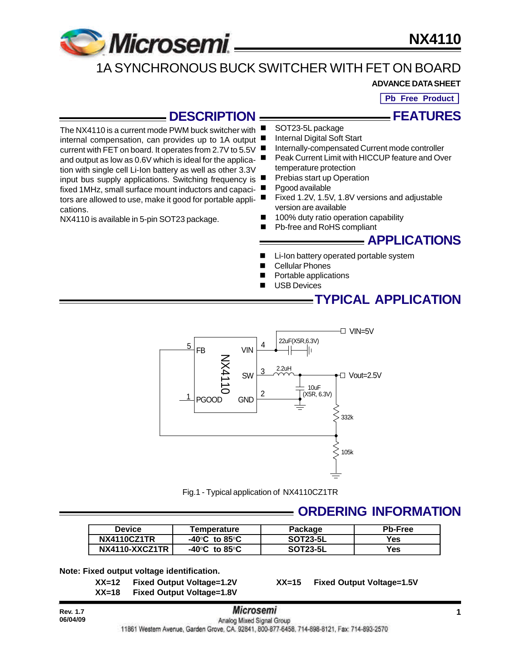

internal compensation, can provides up to 1A output current with FET on board. It operates from 2.7V to 5.5V and output as low as 0.6V which is ideal for the application with single cell Li-Ion battery as well as other 3.3V

fixed 1MHz, small surface mount inductors and capacitors are allowed to use, make it good for portable appli-

NX4110 is available in 5-pin SOT23 package.

**NX4110**

# 1A SYNCHRONOUS BUCK SWITCHER WITH FET ON BOARD

#### **ADVANCE DATA SHEET**

**Pb Free Product**

**FEATURES**

#### **DESCRIPTION** The NX4110 is a current mode PWM buck switcher with

SOT23-5L package

- Internal Digital Soft Start
- Internally-compensated Current mode controller
- Peak Current Limit with HICCUP feature and Over temperature protection
- input bus supply applications. Switching frequency is  $\blacksquare$ Prebias start up Operation
	- Pgood available
	- Fixed 1.2V, 1.5V, 1.8V versions and adjustable version are available
	- 100% duty ratio operation capability
	- Pb-free and RoHS compliant

**APPLICATIONS**

- Li-Ion battery operated portable system
- **Cellular Phones**
- Portable applications
- **USB Devices**

## **TYPICAL APPLICATION**



Fig.1 - Typical application of NX4110CZ1TR

#### **ORDERING INFORMATION**

| <b>Device</b>      | Temperature                                         | Package         | <b>Pb-Free</b> |
|--------------------|-----------------------------------------------------|-----------------|----------------|
| <b>NX4110CZ1TR</b> | -40 $\mathrm{^{\circ}C}$ to 85 $\mathrm{^{\circ}C}$ | <b>SOT23-5L</b> | Yes            |
| NX4110-XXCZ1TR     | -40 $\mathrm{^{\circ}C}$ to 85 $\mathrm{^{\circ}C}$ | <b>SOT23-5L</b> | Yes            |

#### **Note: Fixed output voltage identification.**

**XX=12 Fixed Output Voltage=1.2V XX=15 Fixed Output Voltage=1.5V XX=18 Fixed Output Voltage=1.8V**

cations.

# **Rev. 1.7 1 1 1 1** *MICroSemI* **<b>1 1**

11861 Western Avenue, Garden Grove, CA. 92841, 800-877-6458, 714-898-8121, Fax: 714-893-2570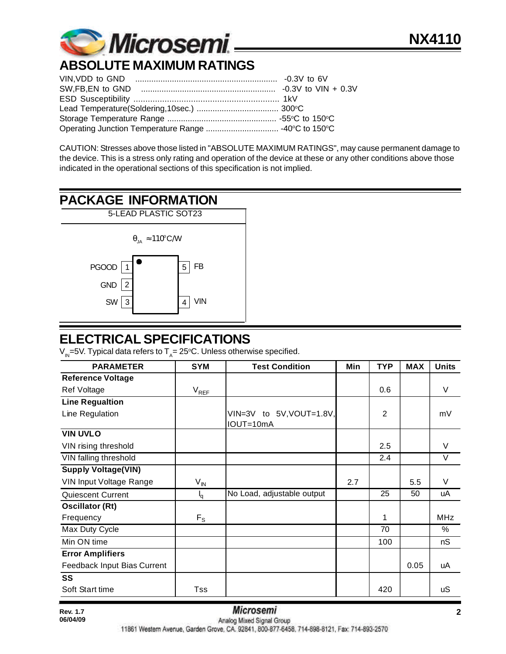

# **ABSOLUTE MAXIMUM RATINGS**

CAUTION: Stresses above those listed in "ABSOLUTE MAXIMUM RATINGS", may cause permanent damage to the device. This is a stress only rating and operation of the device at these or any other conditions above those indicated in the operational sections of this specification is not implied.

# **PACKAGE INFORMATION**



# **ELECTRICAL SPECIFICATIONS**

V<sub>IN</sub>=5V. Typical data refers to T<sub>A</sub>= 25°C. Unless otherwise specified.

| <b>PARAMETER</b>            | <b>SYM</b>      | <b>Test Condition</b>                 | Min | <b>TYP</b>     | <b>MAX</b> | <b>Units</b> |
|-----------------------------|-----------------|---------------------------------------|-----|----------------|------------|--------------|
| <b>Reference Voltage</b>    |                 |                                       |     |                |            |              |
| Ref Voltage                 | $V_{REF}$       |                                       |     | 0.6            |            | V            |
| <b>Line Regualtion</b>      |                 |                                       |     |                |            |              |
| Line Regulation             |                 | VIN=3V to 5V, VOUT=1.8V,<br>IOUT=10mA |     | $\overline{2}$ |            | mV           |
| <b>VIN UVLO</b>             |                 |                                       |     |                |            |              |
| VIN rising threshold        |                 |                                       |     | 2.5            |            | V            |
| VIN falling threshold       |                 |                                       |     | 2.4            |            | V            |
| <b>Supply Voltage(VIN)</b>  |                 |                                       |     |                |            |              |
| VIN Input Voltage Range     | $V_{\text{IN}}$ |                                       | 2.7 |                | 5.5        | V            |
| <b>Quiescent Current</b>    | $I_q$           | No Load, adjustable output            |     | 25             | 50         | uA           |
| <b>Oscillator (Rt)</b>      |                 |                                       |     |                |            |              |
| Frequency                   | $F_S$           |                                       |     | 1              |            | <b>MHz</b>   |
| Max Duty Cycle              |                 |                                       |     | 70             |            | $\%$         |
| Min ON time                 |                 |                                       |     | 100            |            | nS           |
| <b>Error Amplifiers</b>     |                 |                                       |     |                |            |              |
| Feedback Input Bias Current |                 |                                       |     |                | 0.05       | uA           |
| SS                          |                 |                                       |     |                |            |              |
| Soft Start time             | Tss             |                                       |     | 420            |            | uS           |

11861 Western Avenue, Garden Grove, CA. 92841, 800-877-6458, 714-898-8121, Fax: 714-893-2570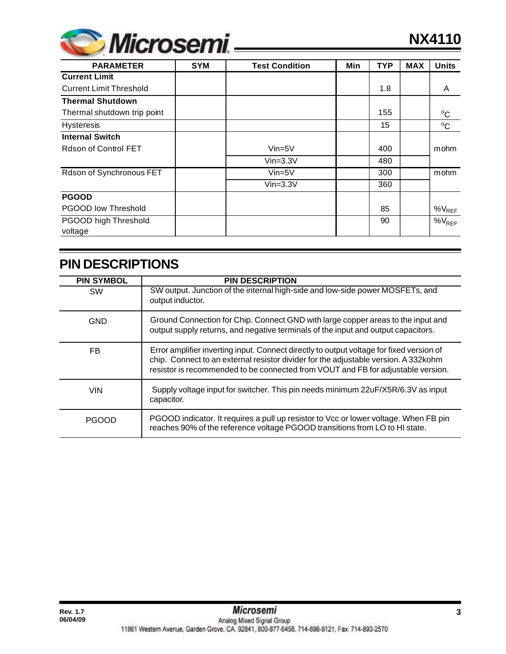

| <b>PARAMETER</b>               | <b>SYM</b> | <b>Test Condition</b> | Min | <b>TYP</b> | <b>MAX</b> | <b>Units</b> |
|--------------------------------|------------|-----------------------|-----|------------|------------|--------------|
| <b>Current Limit</b>           |            |                       |     |            |            |              |
| <b>Current Limit Threshold</b> |            |                       |     | 1.8        |            | A            |
| <b>Thermal Shutdown</b>        |            |                       |     |            |            |              |
| Thermal shutdown trip point    |            |                       |     | 155        |            | $^{\circ}$ C |
| <b>Hysteresis</b>              |            |                       |     | 15         |            | $\rm ^{o}C$  |
| <b>Internal Switch</b>         |            |                       |     |            |            |              |
| Rdson of Control FET           |            | $Vin=5V$              |     | 400        |            | mohm         |
|                                |            | $Vin=3.3V$            |     | 480        |            |              |
| Rdson of Synchronous FET       |            | $Vin=5V$              |     | 300        |            | mohm         |
|                                |            | $Vin=3.3V$            |     | 360        |            |              |
| <b>PGOOD</b>                   |            |                       |     |            |            |              |
| <b>PGOOD low Threshold</b>     |            |                       |     | 85         |            | $%V_{REF}$   |
| PGOOD high Threshold           |            |                       |     | 90         |            | $\%V_{REF}$  |
| voltage                        |            |                       |     |            |            |              |

# **PIN DESCRIPTIONS**

| <b>PIN SYMBOL</b> | <b>PIN DESCRIPTION</b>                                                                                                                                                                                                                                              |
|-------------------|---------------------------------------------------------------------------------------------------------------------------------------------------------------------------------------------------------------------------------------------------------------------|
| <b>SW</b>         | SW output. Junction of the internal high-side and low-side power MOSFETs, and<br>output inductor.                                                                                                                                                                   |
| <b>GND</b>        | Ground Connection for Chip. Connect GND with large copper areas to the input and<br>output supply returns, and negative terminals of the input and output capacitors.                                                                                               |
| FB                | Error amplifier inverting input. Connect directly to output voltage for fixed version of<br>chip. Connect to an external resistor divider for the adjustable version. A 332kohm<br>resistor is recommended to be connected from VOUT and FB for adjustable version. |
| <b>VIN</b>        | Supply voltage input for switcher. This pin needs minimum 22uF/X5R/6.3V as input<br>capacitor.                                                                                                                                                                      |
| <b>PGOOD</b>      | PGOOD indicator. It requires a pull up resistor to Vcc or lower voltage. When FB pin<br>reaches 90% of the reference voltage PGOOD transitions from LO to HI state.                                                                                                 |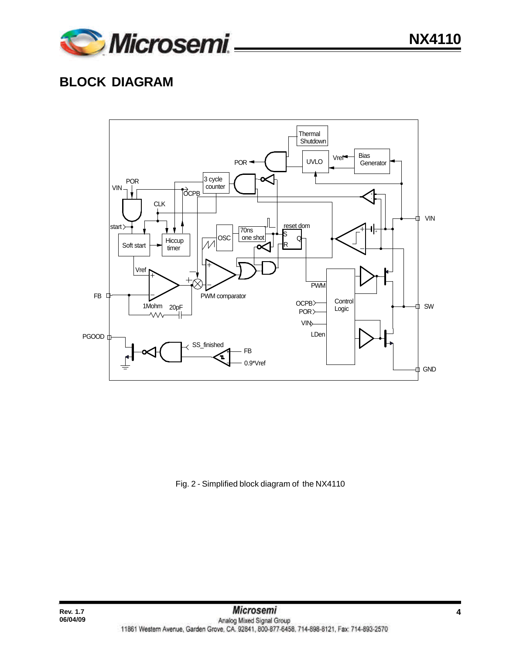

# **BLOCK DIAGRAM**

**06/04/09**



Fig. 2 - Simplified block diagram of the NX4110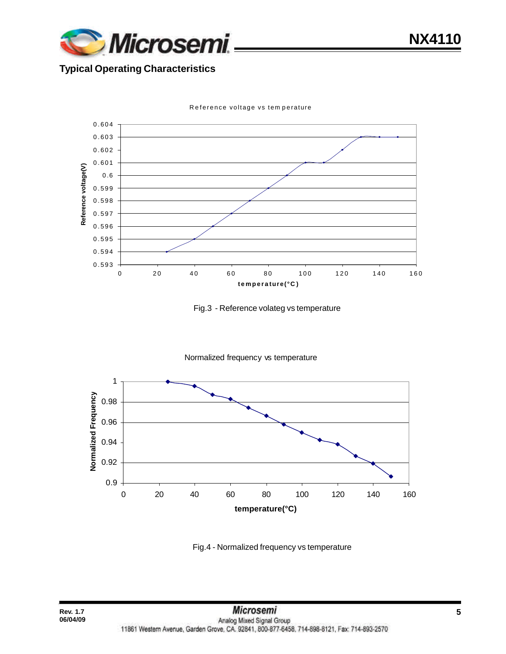

**NX4110**

#### **Typical Operating Characteristics**



Reference voltage vs tem perature





Fig.4 - Normalized frequency vs temperature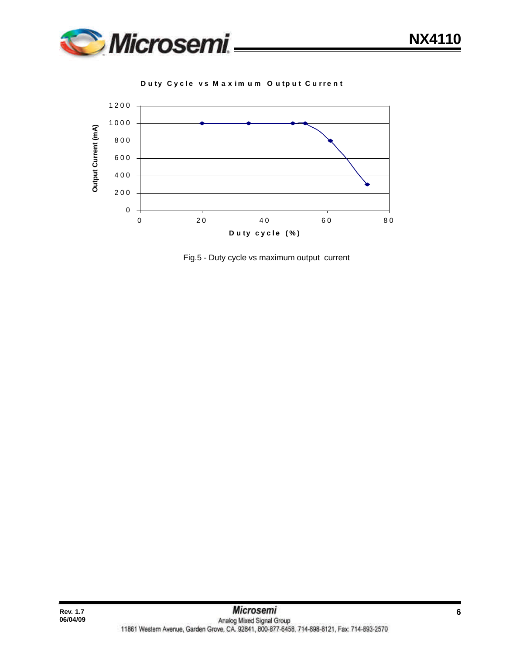

**D u ty Cyc l e v s Max i m u m O u tp u t C u r r ent**



Fig.5 - Duty cycle vs maximum output current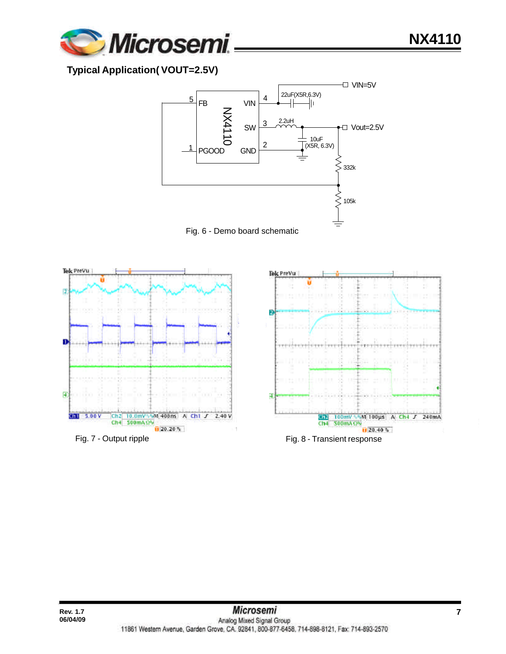

**Typical Application( VOUT=2.5V)**







**NX4110**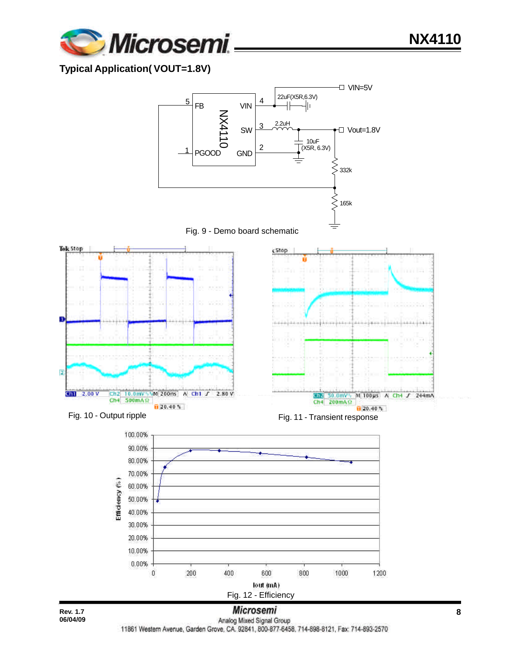

#### **Typical Application( VOUT=1.8V)**



11861 Western Avenue, Garden Grove, CA. 92841, 800-877-6458. 714-898-8121, Fax: 714-893-2570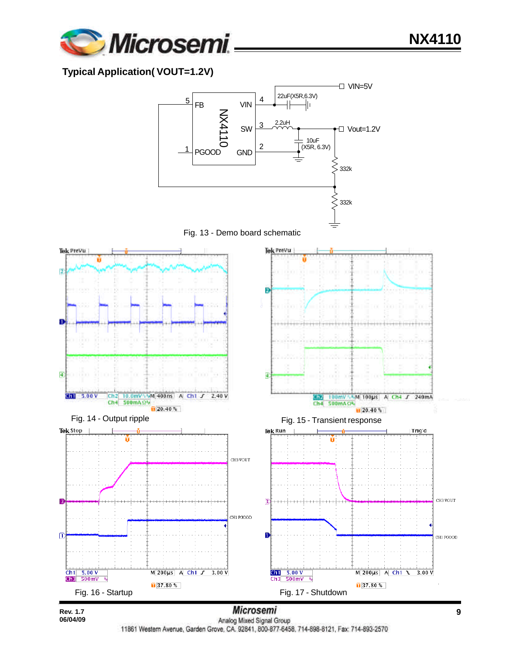

#### **Typical Application( VOUT=1.2V)**

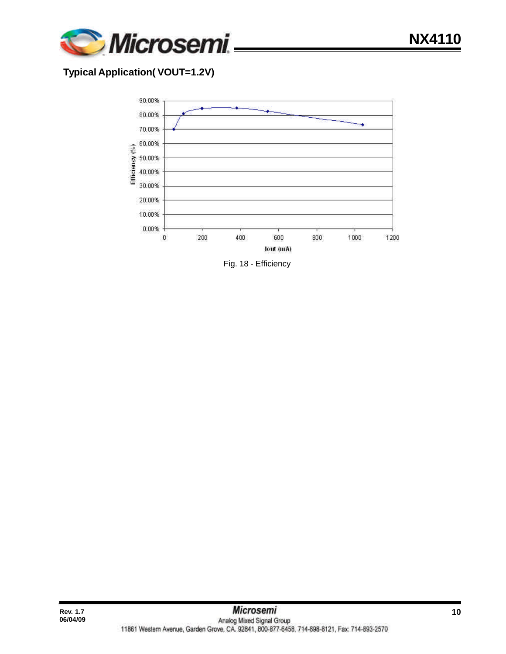

#### **Typical Application( VOUT=1.2V)**

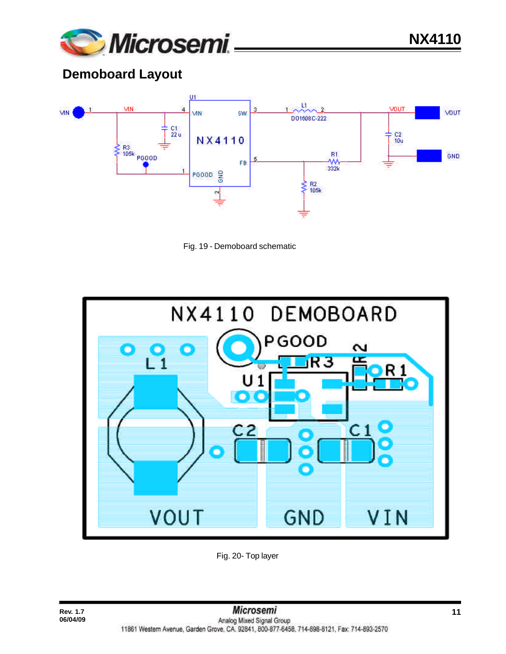

**NX4110**

# **Demoboard Layout**







Fig. 20- Top layer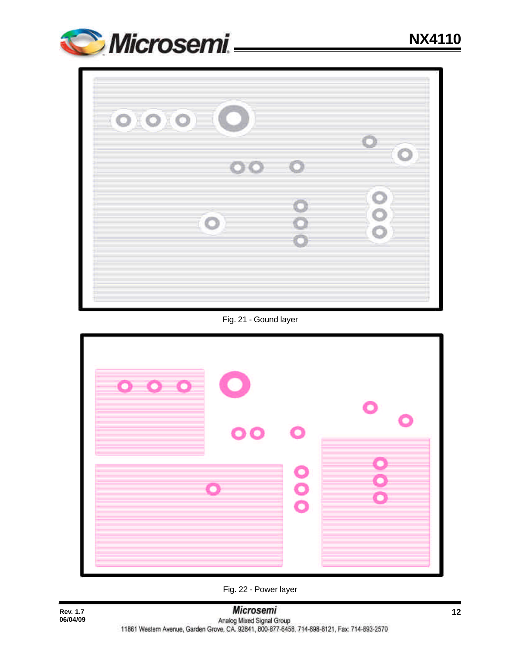



Fig. 21 - Gound layer



Fig. 22 - Power layer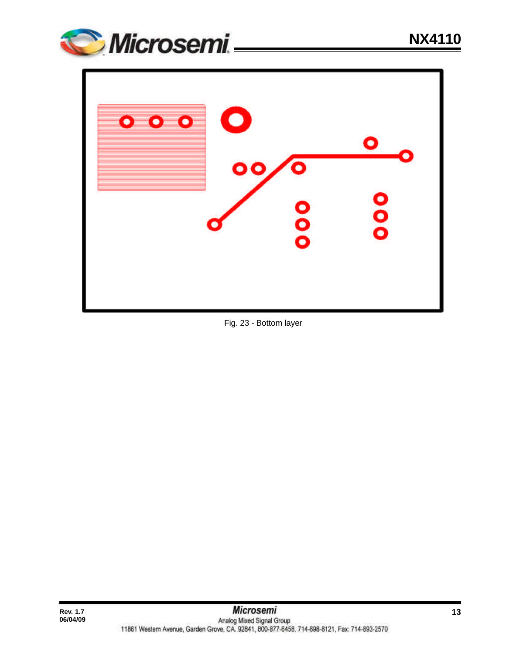



Fig. 23 - Bottom layer